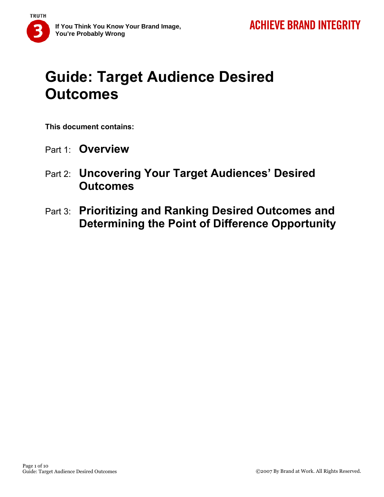

# **Guide: Target Audience Desired Outcomes**

**This document contains:** 

- Part 1: **Overview**
- Part 2: **Uncovering Your Target Audiences' Desired Outcomes**
- Part 3: **Prioritizing and Ranking Desired Outcomes and Determining the Point of Difference Opportunity**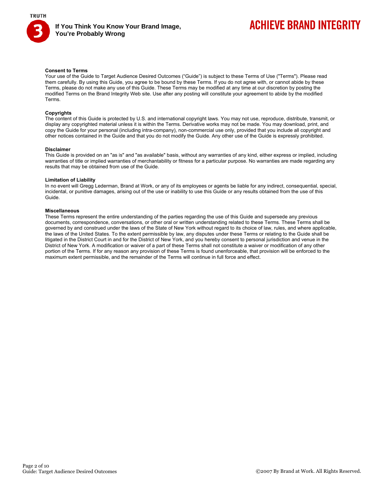

# **ACHIEVE BRAND INTEGRITY**

#### **Consent to Terms**

Your use of the Guide to Target Audience Desired Outcomes ("Guide") is subject to these Terms of Use ("Terms"). Please read them carefully. By using this Guide, you agree to be bound by these Terms. If you do not agree with, or cannot abide by these Terms, please do not make any use of this Guide. These Terms may be modified at any time at our discretion by posting the modified Terms on the Brand Integrity Web site. Use after any posting will constitute your agreement to abide by the modified Terms.

#### **Copyrights**

The content of this Guide is protected by U.S. and international copyright laws. You may not use, reproduce, distribute, transmit, or display any copyrighted material unless it is within the Terms. Derivative works may not be made. You may download, print, and copy the Guide for your personal (including intra-company), non-commercial use only, provided that you include all copyright and other notices contained in the Guide and that you do not modify the Guide. Any other use of the Guide is expressly prohibited.

#### **Disclaimer**

This Guide is provided on an "as is" and "as available" basis, without any warranties of any kind, either express or implied, including warranties of title or implied warranties of merchantability or fitness for a particular purpose. No warranties are made regarding any results that may be obtained from use of the Guide.

#### **Limitation of Liability**

In no event will Gregg Lederman, Brand at Work, or any of its employees or agents be liable for any indirect, consequential, special, incidental, or punitive damages, arising out of the use or inability to use this Guide or any results obtained from the use of this Guide.

#### **Miscellaneous**

These Terms represent the entire understanding of the parties regarding the use of this Guide and supersede any previous documents, correspondence, conversations, or other oral or written understanding related to these Terms. These Terms shall be governed by and construed under the laws of the State of New York without regard to its choice of law, rules, and where applicable, the laws of the United States. To the extent permissible by law, any disputes under these Terms or relating to the Guide shall be litigated in the District Court in and for the District of New York, and you hereby consent to personal jurisdiction and venue in the District of New York. A modification or waiver of a part of these Terms shall not constitute a waiver or modification of any other portion of the Terms. If for any reason any provision of these Terms is found unenforceable, that provision will be enforced to the maximum extent permissible, and the remainder of the Terms will continue in full force and effect.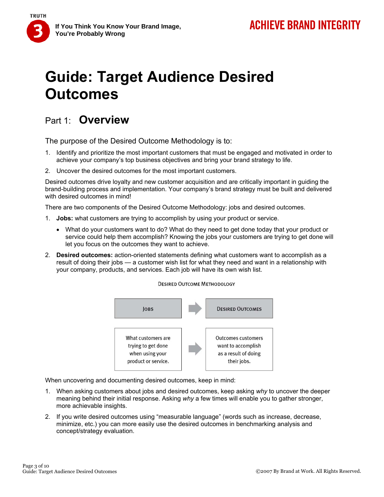# **Guide: Target Audience Desired Outcomes**

## Part 1: **Overview**

**TRUTH** 

The purpose of the Desired Outcome Methodology is to:

- 1. Identify and prioritize the most important customers that must be engaged and motivated in order to achieve your company's top business objectives and bring your brand strategy to life.
- 2. Uncover the desired outcomes for the most important customers.

Desired outcomes drive loyalty and new customer acquisition and are critically important in guiding the brand-building process and implementation. Your company's brand strategy must be built and delivered with desired outcomes in mind!

There are two components of the Desired Outcome Methodology: jobs and desired outcomes.

- 1. **Jobs:** what customers are trying to accomplish by using your product or service.
	- What do your customers want to do? What do they need to get done today that your product or service could help them accomplish? Knowing the jobs your customers are trying to get done will let you focus on the outcomes they want to achieve.

**DESIRED OUTCOME METHODOLOGY** 

2. **Desired outcomes:** action-oriented statements defining what customers want to accomplish as a result of doing their jobs — a customer wish list for what they need and want in a relationship with your company, products, and services. Each job will have its own wish list.

#### **DESIRED OUTCOMES JOBS** What customers are Outcomes customers want to accomplish trying to get done as a result of doing when using your product or service. their jobs.

When uncovering and documenting desired outcomes, keep in mind:

- 1. When asking customers about jobs and desired outcomes, keep asking *why* to uncover the deeper meaning behind their initial response. Asking *why* a few times will enable you to gather stronger, more achievable insights.
- 2. If you write desired outcomes using "measurable language" (words such as increase, decrease, minimize, etc.) you can more easily use the desired outcomes in benchmarking analysis and concept/strategy evaluation.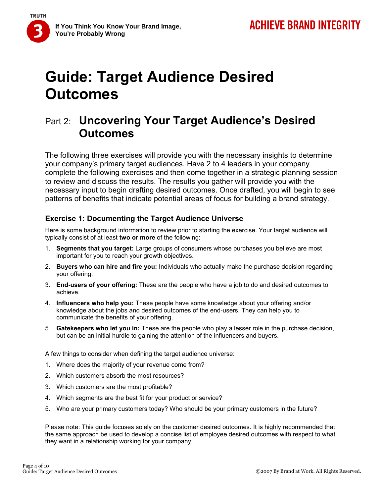

**If You Think You Know Your Brand Image, You're Probably Wrong** 

# **Guide: Target Audience Desired Outcomes**

## Part 2: **Uncovering Your Target Audience's Desired Outcomes**

The following three exercises will provide you with the necessary insights to determine your company's primary target audiences. Have 2 to 4 leaders in your company complete the following exercises and then come together in a strategic planning session to review and discuss the results. The results you gather will provide you with the necessary input to begin drafting desired outcomes. Once drafted, you will begin to see patterns of benefits that indicate potential areas of focus for building a brand strategy.

### **Exercise 1: Documenting the Target Audience Universe**

Here is some background information to review prior to starting the exercise. Your target audience will typically consist of at least **two or more** of the following:

- 1. **Segments that you target:** Large groups of consumers whose purchases you believe are most important for you to reach your growth objectives.
- 2. **Buyers who can hire and fire you:** Individuals who actually make the purchase decision regarding your offering.
- 3. **End-users of your offering:** These are the people who have a job to do and desired outcomes to achieve.
- 4. **Influencers who help you:** These people have some knowledge about your offering and/or knowledge about the jobs and desired outcomes of the end-users. They can help you to communicate the benefits of your offering.
- 5. **Gatekeepers who let you in:** These are the people who play a lesser role in the purchase decision, but can be an initial hurdle to gaining the attention of the influencers and buyers.

A few things to consider when defining the target audience universe:

- 1. Where does the majority of your revenue come from?
- 2. Which customers absorb the most resources?
- 3. Which customers are the most profitable?
- 4. Which segments are the best fit for your product or service?
- 5. Who are your primary customers today? Who should be your primary customers in the future?

Please note: This guide focuses solely on the customer desired outcomes. It is highly recommended that the same approach be used to develop a concise list of employee desired outcomes with respect to what they want in a relationship working for your company.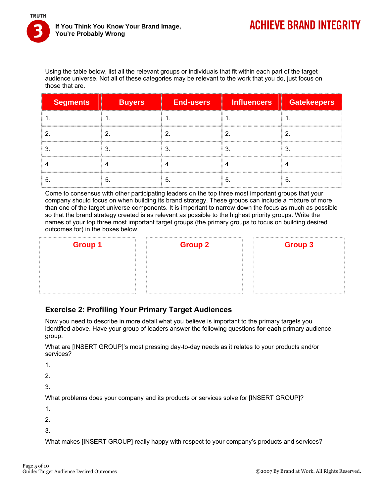

Using the table below, list all the relevant groups or individuals that fit within each part of the target audience universe. Not all of these categories may be relevant to the work that you do, just focus on those that are.

| <b>Segments</b> | <b>Buyers</b> | <b>End-users</b> | л.  | Influencers Gatekeepers     |
|-----------------|---------------|------------------|-----|-----------------------------|
|                 |               |                  |     | --------------------------- |
|                 |               |                  |     |                             |
|                 |               |                  |     |                             |
|                 |               |                  |     |                             |
|                 |               |                  | -5. |                             |

Come to consensus with other participating leaders on the top three most important groups that your company should focus on when building its brand strategy. These groups can include a mixture of more than one of the target universe components. It is important to narrow down the focus as much as possible so that the brand strategy created is as relevant as possible to the highest priority groups. Write the names of your top three most important target groups (the primary groups to focus on building desired outcomes for) in the boxes below.

| <b>Group 1</b> | <b>Group 2</b> | <b>Group 3</b> |
|----------------|----------------|----------------|
|                |                |                |
|                |                |                |
|                |                |                |

## **Exercise 2: Profiling Your Primary Target Audiences**

Now you need to describe in more detail what you believe is important to the primary targets you identified above. Have your group of leaders answer the following questions **for each** primary audience group.

What are [INSERT GROUP]'s most pressing day-to-day needs as it relates to your products and/or services?

1.

2.

3.

What problems does your company and its products or services solve for [INSERT GROUP]?

1.

2.

3.

What makes [INSERT GROUP] really happy with respect to your company's products and services?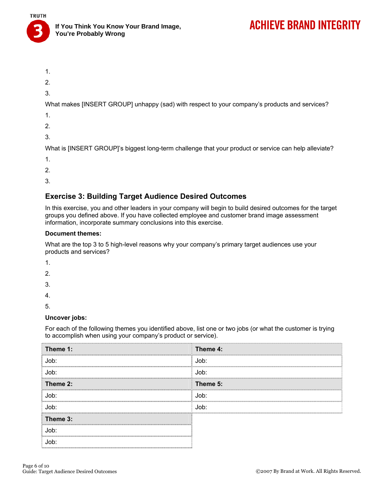

# **ACHIEVE BRAND INTEGRITY**

- 1.
- 2.
- 3.

What makes [INSERT GROUP] unhappy (sad) with respect to your company's products and services?

- 1.
- 2.
- 
- 3.

What is [INSERT GROUP]'s biggest long-term challenge that your product or service can help alleviate?

- 1.
- 2.
- 
- 3.

## **Exercise 3: Building Target Audience Desired Outcomes**

In this exercise, you and other leaders in your company will begin to build desired outcomes for the target groups you defined above. If you have collected employee and customer brand image assessment information, incorporate summary conclusions into this exercise.

#### **Document themes:**

What are the top 3 to 5 high-level reasons why your company's primary target audiences use your products and services?

- 1.
- 2.
- 3.
- 4.

5.

### **Uncover jobs:**

For each of the following themes you identified above, list one or two jobs (or what the customer is trying to accomplish when using your company's product or service).

| Theme 1: | Theme 4: |
|----------|----------|
| Job:     | Job:     |
| Job:     | Job:<br> |
| Theme 2: | Theme 5: |
| Job:     | Job:     |
| Job:     | Job:     |
| Theme 3: |          |
| Job:     |          |
|          |          |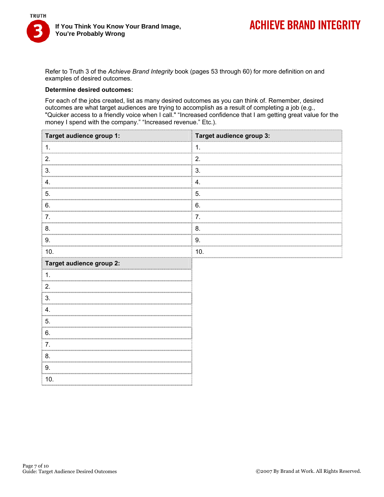

Refer to Truth 3 of the *Achieve Brand Integrity* book (pages 53 through 60) for more definition on and examples of desired outcomes.

#### **Determine desired outcomes:**

For each of the jobs created, list as many desired outcomes as you can think of. Remember, desired outcomes are what target audiences are trying to accomplish as a result of completing a job (e.g., "Quicker access to a friendly voice when I call." "Increased confidence that I am getting great value for the money I spend with the company." "Increased revenue." Etc.).

| Target audience group 1: | Target audience group 3: |
|--------------------------|--------------------------|
|                          | 1.                       |
| 2.                       | 2.                       |
| 3.<br><b>COLOR</b>       | 3.                       |
| 4                        | 4.                       |
| 5.                       | 5.                       |
| 6.                       | 6.                       |
|                          | 7.                       |
| 8.                       | 8.                       |
| 9.                       | 9.                       |
| 10.                      | 10.                      |
| Target audience group 2: |                          |
|                          |                          |
| 2.                       |                          |
| 3                        |                          |
| 4.                       |                          |
| 5.                       |                          |
| 6.                       |                          |
| 7                        |                          |
| 8.                       |                          |
| 9.                       |                          |
| 10.                      |                          |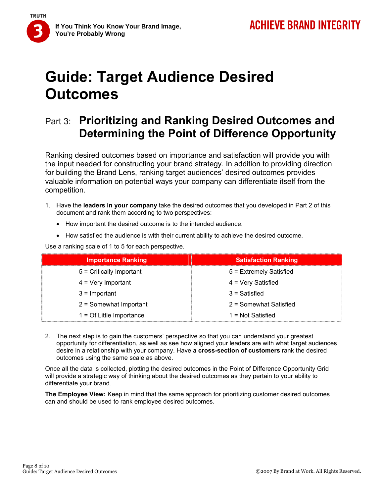

**If You Think You Know Your Brand Image, You're Probably Wrong** 

# **Guide: Target Audience Desired Outcomes**

## Part 3: **Prioritizing and Ranking Desired Outcomes and Determining the Point of Difference Opportunity**

Ranking desired outcomes based on importance and satisfaction will provide you with the input needed for constructing your brand strategy. In addition to providing direction for building the Brand Lens, ranking target audiences' desired outcomes provides valuable information on potential ways your company can differentiate itself from the competition.

- 1. Have the **leaders in your company** take the desired outcomes that you developed in Part 2 of this document and rank them according to two perspectives:
	- How important the desired outcome is to the intended audience.
	- How satisfied the audience is with their current ability to achieve the desired outcome.

Use a ranking scale of 1 to 5 for each perspective.

| <b>Importance Ranking</b>   | <b>Satisfaction Ranking</b> |
|-----------------------------|-----------------------------|
| $5 =$ Critically Important  | 5 = Extremely Satisfied     |
| $4 = \text{Very Important}$ | 4 = Very Satisfied          |
| $3 =$ Important             | $3 = Satisfied$             |
| $2 =$ Somewhat Important    | 2 = Somewhat Satisfied      |
| $1 = Of Little Importance$  | $1 = Not Satisfied$         |

2. The next step is to gain the customers' perspective so that you can understand your greatest opportunity for differentiation, as well as see how aligned your leaders are with what target audiences desire in a relationship with your company. Have **a cross-section of customers** rank the desired outcomes using the same scale as above.

Once all the data is collected, plotting the desired outcomes in the Point of Difference Opportunity Grid will provide a strategic way of thinking about the desired outcomes as they pertain to your ability to differentiate your brand.

**The Employee View:** Keep in mind that the same approach for prioritizing customer desired outcomes can and should be used to rank employee desired outcomes.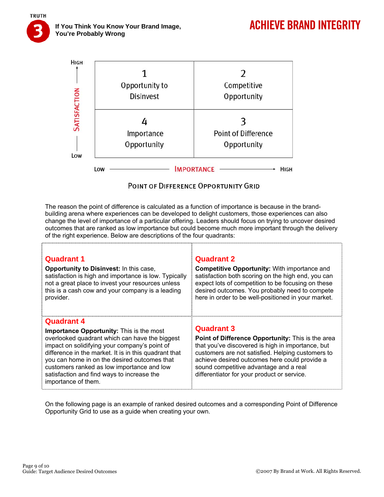**If You Think You Know Your Brand Image, You're Probably Wrong** 

**TRUTH** 



### POINT OF DIFFERENCE OPPORTUNITY GRID

The reason the point of difference is calculated as a function of importance is because in the brandbuilding arena where experiences can be developed to delight customers, those experiences can also change the level of importance of a particular offering. Leaders should focus on trying to uncover desired outcomes that are ranked as low importance but could become much more important through the delivery of the right experience. Below are descriptions of the four quadrants:

| <b>Quadrant 1</b>                                                                                                                                                                                                                                                                                                                                                                            | <b>Quadrant 2</b>                                                                                                                                                                                                                                                                                                          |
|----------------------------------------------------------------------------------------------------------------------------------------------------------------------------------------------------------------------------------------------------------------------------------------------------------------------------------------------------------------------------------------------|----------------------------------------------------------------------------------------------------------------------------------------------------------------------------------------------------------------------------------------------------------------------------------------------------------------------------|
| <b>Opportunity to Disinvest:</b> In this case,                                                                                                                                                                                                                                                                                                                                               | <b>Competitive Opportunity:</b> With importance and                                                                                                                                                                                                                                                                        |
| satisfaction is high and importance is low. Typically                                                                                                                                                                                                                                                                                                                                        | satisfaction both scoring on the high end, you can                                                                                                                                                                                                                                                                         |
| not a great place to invest your resources unless                                                                                                                                                                                                                                                                                                                                            | expect lots of competition to be focusing on these                                                                                                                                                                                                                                                                         |
| this is a cash cow and your company is a leading                                                                                                                                                                                                                                                                                                                                             | desired outcomes. You probably need to compete                                                                                                                                                                                                                                                                             |
| provider.                                                                                                                                                                                                                                                                                                                                                                                    | here in order to be well-positioned in your market.                                                                                                                                                                                                                                                                        |
| <b>Quadrant 4</b><br>Importance Opportunity: This is the most<br>overlooked quadrant which can have the biggest<br>impact on solidifying your company's point of<br>difference in the market. It is in this quadrant that<br>you can home in on the desired outcomes that<br>customers ranked as low importance and low<br>satisfaction and find ways to increase the<br>importance of them. | <b>Quadrant 3</b><br>Point of Difference Opportunity: This is the area<br>that you've discovered is high in importance, but<br>customers are not satisfied. Helping customers to<br>achieve desired outcomes here could provide a<br>sound competitive advantage and a real<br>differentiator for your product or service. |

On the following page is an example of ranked desired outcomes and a corresponding Point of Difference Opportunity Grid to use as a guide when creating your own.